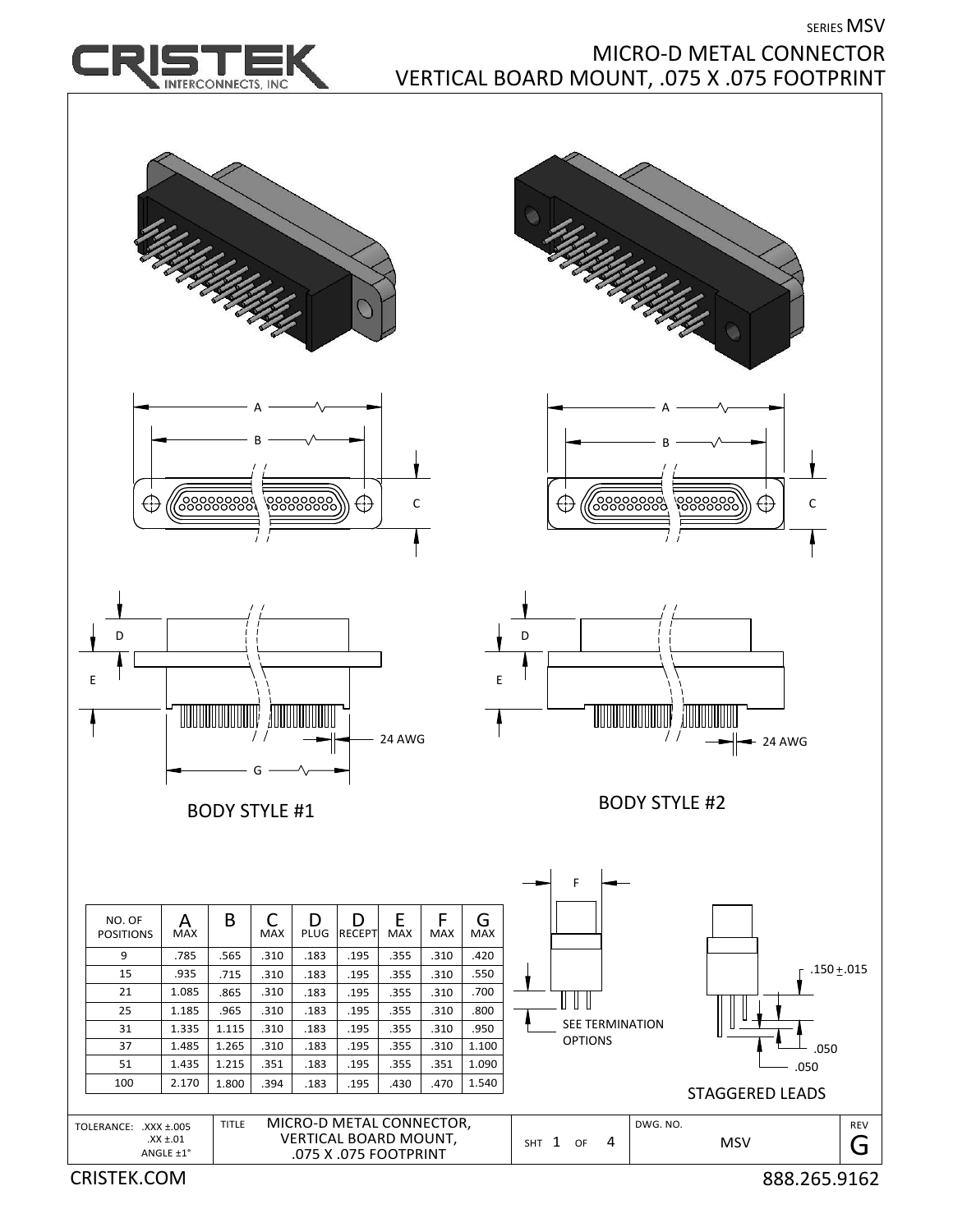SERIES MSV



## MICRO‐D METAL CONNECTOR VERTICAL BOARD MOUNT, .075 X .075 FOOTPRINT

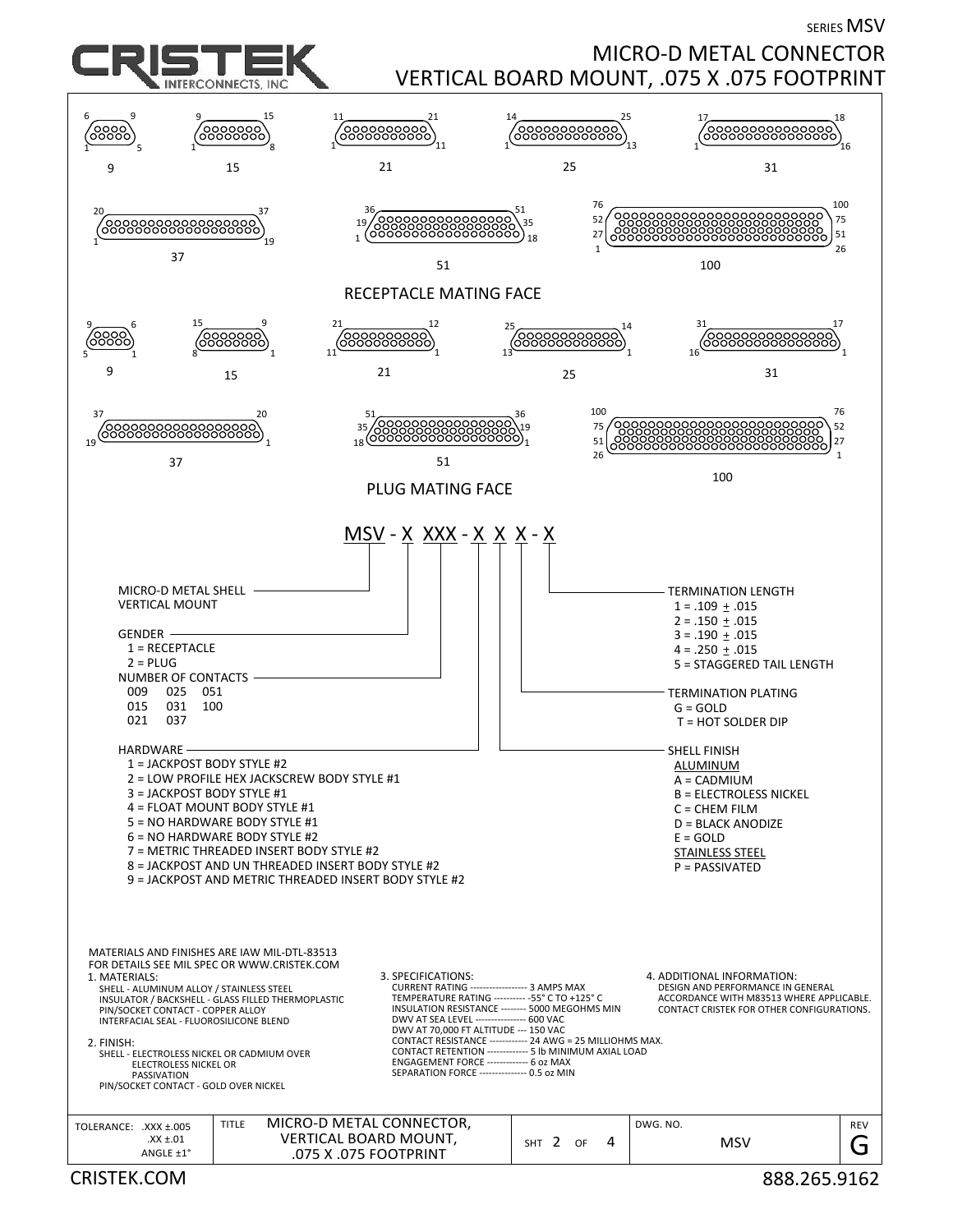SERIES MSV

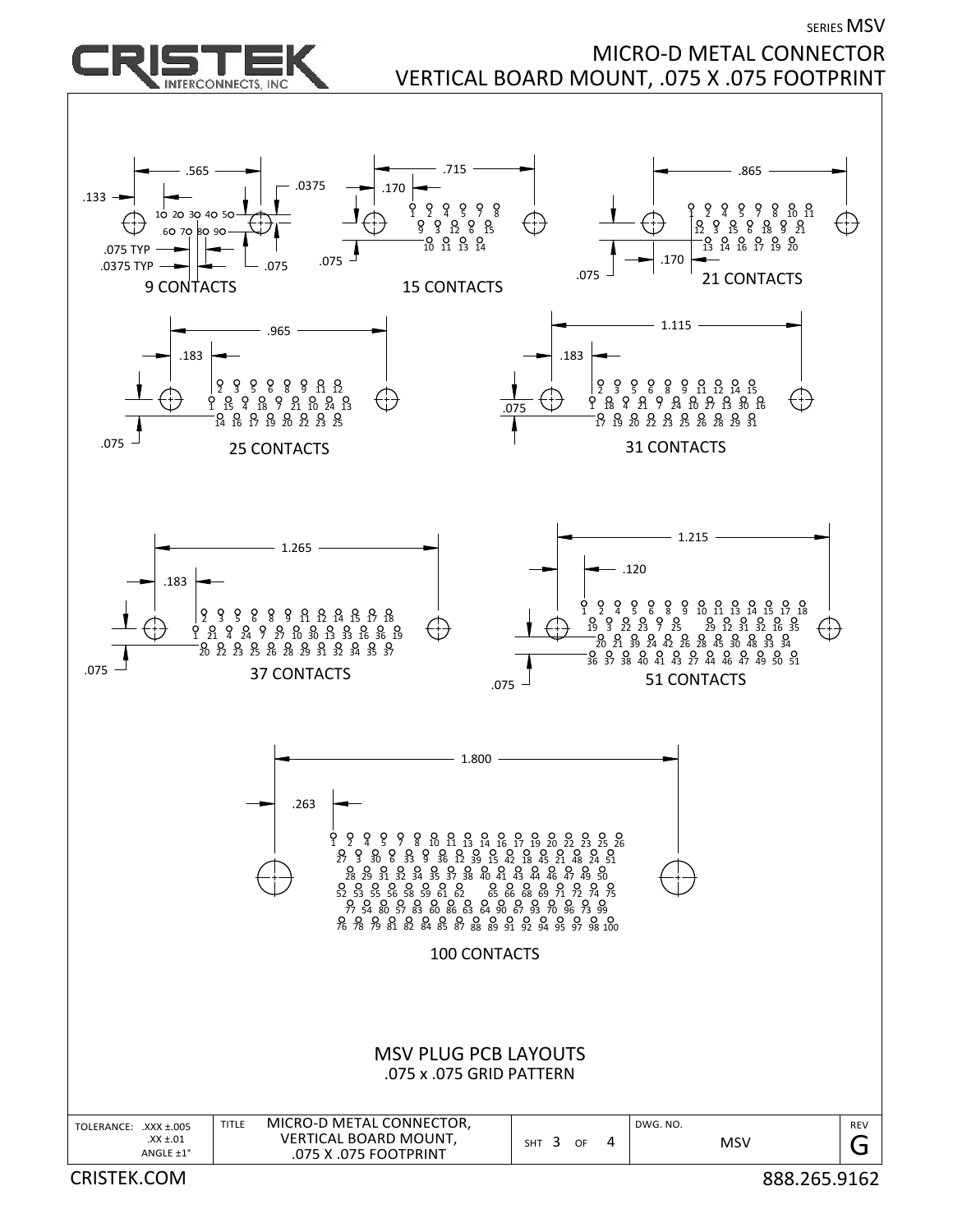

## SERIES MSV